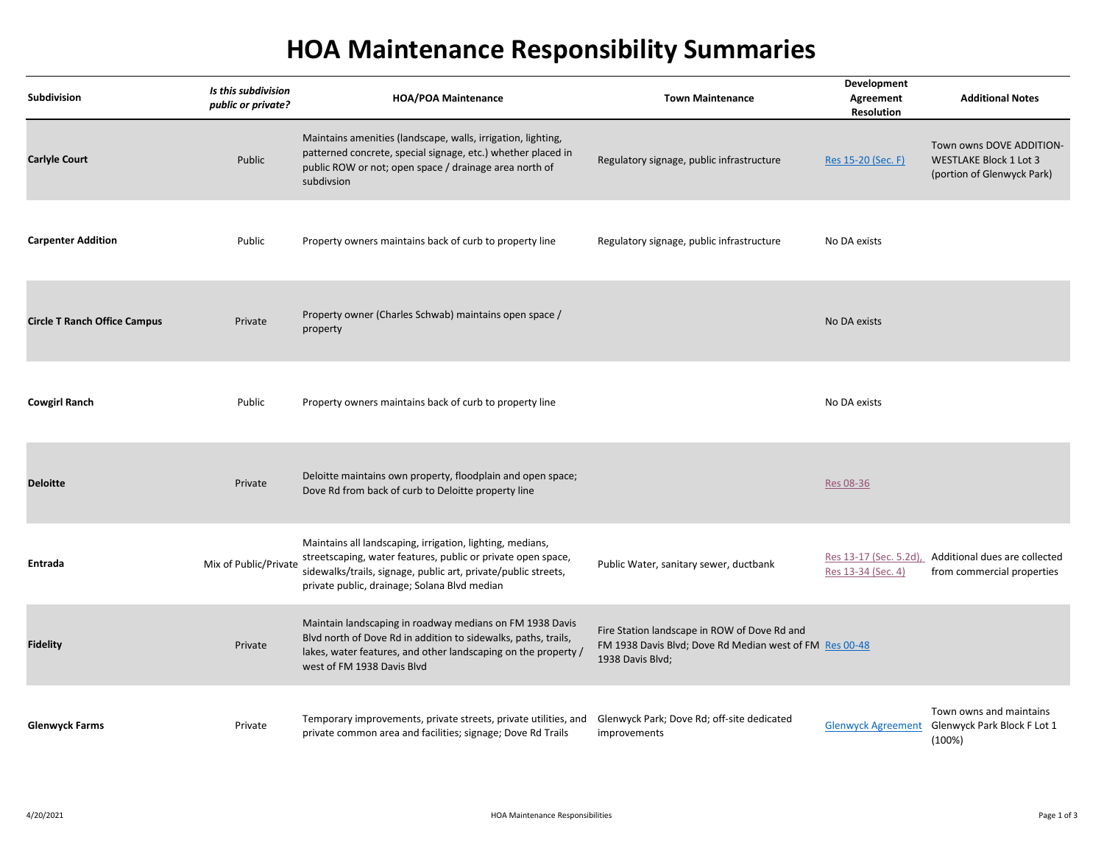## **HOA Maintenance Responsibility Summaries**

| <b>Subdivision</b>                  | Is this subdivision<br>public or private? | <b>HOA/POA Maintenance</b>                                                                                                                                                                                                                  | <b>Town Maintenance</b>                                                                                                     | Development<br>Agreement<br><b>Resolution</b> | <b>Additional Notes</b>                                                                 |
|-------------------------------------|-------------------------------------------|---------------------------------------------------------------------------------------------------------------------------------------------------------------------------------------------------------------------------------------------|-----------------------------------------------------------------------------------------------------------------------------|-----------------------------------------------|-----------------------------------------------------------------------------------------|
| <b>Carlyle Court</b>                | Public                                    | Maintains amenities (landscape, walls, irrigation, lighting,<br>patterned concrete, special signage, etc.) whether placed in<br>public ROW or not; open space / drainage area north of<br>subdivsion                                        | Regulatory signage, public infrastructure                                                                                   | Res 15-20 (Sec. F)                            | Town owns DOVE ADDITION-<br><b>WESTLAKE Block 1 Lot 3</b><br>(portion of Glenwyck Park) |
| <b>Carpenter Addition</b>           | Public                                    | Property owners maintains back of curb to property line                                                                                                                                                                                     | Regulatory signage, public infrastructure                                                                                   | No DA exists                                  |                                                                                         |
| <b>Circle T Ranch Office Campus</b> | Private                                   | Property owner (Charles Schwab) maintains open space /<br>property                                                                                                                                                                          |                                                                                                                             | No DA exists                                  |                                                                                         |
| <b>Cowgirl Ranch</b>                | Public                                    | Property owners maintains back of curb to property line                                                                                                                                                                                     |                                                                                                                             | No DA exists                                  |                                                                                         |
| <b>Deloitte</b>                     | Private                                   | Deloitte maintains own property, floodplain and open space;<br>Dove Rd from back of curb to Deloitte property line                                                                                                                          |                                                                                                                             | Res 08-36                                     |                                                                                         |
| <b>Entrada</b>                      | Mix of Public/Private                     | Maintains all landscaping, irrigation, lighting, medians,<br>streetscaping, water features, public or private open space,<br>sidewalks/trails, signage, public art, private/public streets,<br>private public, drainage; Solana Blvd median | Public Water, sanitary sewer, ductbank                                                                                      | Res 13-17 (Sec. 5.2d),<br>Res 13-34 (Sec. 4)  | Additional dues are collected<br>from commercial properties                             |
| <b>Fidelity</b>                     | Private                                   | Maintain landscaping in roadway medians on FM 1938 Davis<br>Blvd north of Dove Rd in addition to sidewalks, paths, trails,<br>lakes, water features, and other landscaping on the property /<br>west of FM 1938 Davis Blvd                  | Fire Station landscape in ROW of Dove Rd and<br>FM 1938 Davis Blvd; Dove Rd Median west of FM Res 00-48<br>1938 Davis Blvd; |                                               |                                                                                         |
| <b>Glenwyck Farms</b>               | Private                                   | Temporary improvements, private streets, private utilities, and<br>private common area and facilities; signage; Dove Rd Trails                                                                                                              | Glenwyck Park; Dove Rd; off-site dedicated<br>improvements                                                                  | <b>Glenwyck Agreement</b>                     | Town owns and maintains<br>Glenwyck Park Block F Lot 1<br>(100%)                        |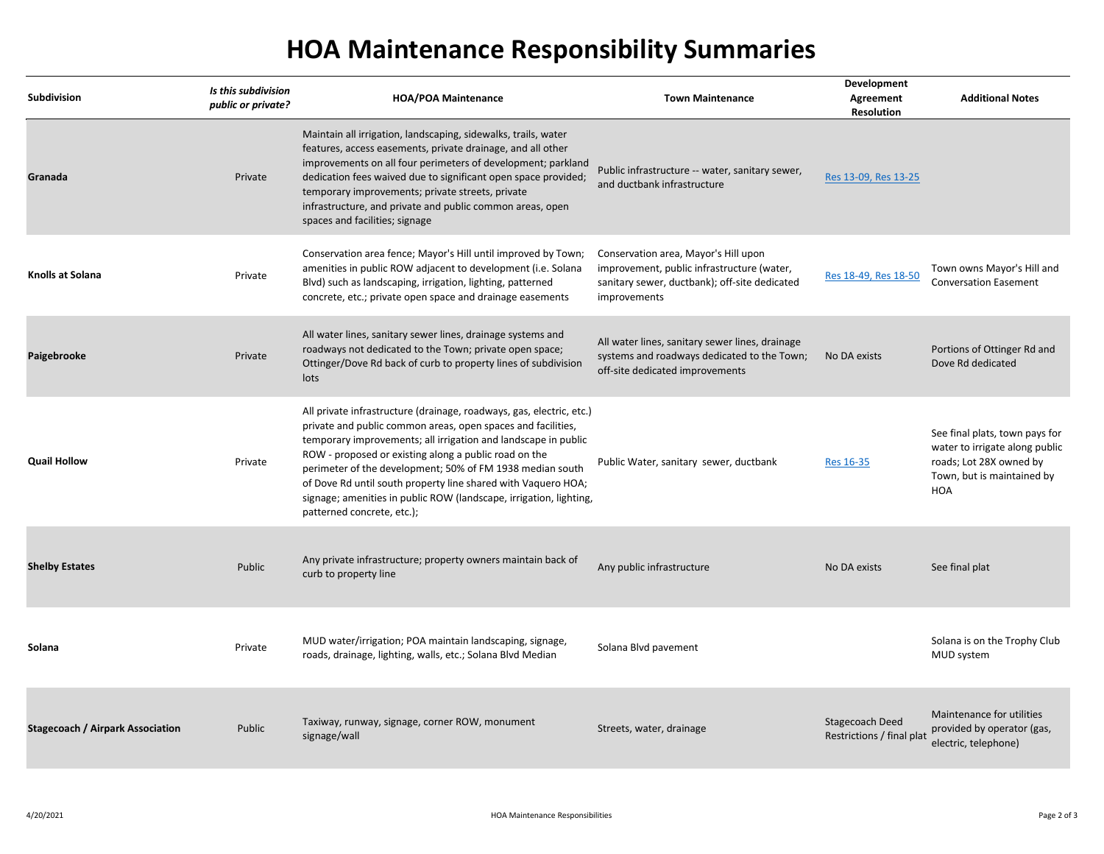## **HOA Maintenance Responsibility Summaries**

| Subdivision                             | Is this subdivision | <b>HOA/POA Maintenance</b>                                                                                                                                                                                                                                                                                                                                                                                                                                                                        | <b>Town Maintenance</b>                                                                                                                             | Development<br>Agreement                     | <b>Additional Notes</b>                                                                                                                 |
|-----------------------------------------|---------------------|---------------------------------------------------------------------------------------------------------------------------------------------------------------------------------------------------------------------------------------------------------------------------------------------------------------------------------------------------------------------------------------------------------------------------------------------------------------------------------------------------|-----------------------------------------------------------------------------------------------------------------------------------------------------|----------------------------------------------|-----------------------------------------------------------------------------------------------------------------------------------------|
|                                         | public or private?  |                                                                                                                                                                                                                                                                                                                                                                                                                                                                                                   |                                                                                                                                                     | <b>Resolution</b>                            |                                                                                                                                         |
| Granada                                 | Private             | Maintain all irrigation, landscaping, sidewalks, trails, water<br>features, access easements, private drainage, and all other<br>improvements on all four perimeters of development; parkland<br>dedication fees waived due to significant open space provided;<br>temporary improvements; private streets, private<br>infrastructure, and private and public common areas, open<br>spaces and facilities; signage                                                                                | Public infrastructure -- water, sanitary sewer,<br>and ductbank infrastructure                                                                      | Res 13-09, Res 13-25                         |                                                                                                                                         |
| Knolls at Solana                        | Private             | Conservation area fence; Mayor's Hill until improved by Town;<br>amenities in public ROW adjacent to development (i.e. Solana<br>Blvd) such as landscaping, irrigation, lighting, patterned<br>concrete, etc.; private open space and drainage easements                                                                                                                                                                                                                                          | Conservation area, Mayor's Hill upon<br>improvement, public infrastructure (water,<br>sanitary sewer, ductbank); off-site dedicated<br>improvements | Res 18-49, Res 18-50                         | Town owns Mayor's Hill and<br><b>Conversation Easement</b>                                                                              |
| Paigebrooke                             | Private             | All water lines, sanitary sewer lines, drainage systems and<br>roadways not dedicated to the Town; private open space;<br>Ottinger/Dove Rd back of curb to property lines of subdivision<br>lots                                                                                                                                                                                                                                                                                                  | All water lines, sanitary sewer lines, drainage<br>systems and roadways dedicated to the Town;<br>off-site dedicated improvements                   | No DA exists                                 | Portions of Ottinger Rd and<br>Dove Rd dedicated                                                                                        |
| <b>Quail Hollow</b>                     | Private             | All private infrastructure (drainage, roadways, gas, electric, etc.)<br>private and public common areas, open spaces and facilities,<br>temporary improvements; all irrigation and landscape in public<br>ROW - proposed or existing along a public road on the<br>perimeter of the development; 50% of FM 1938 median south<br>of Dove Rd until south property line shared with Vaquero HOA;<br>signage; amenities in public ROW (landscape, irrigation, lighting,<br>patterned concrete, etc.); | Public Water, sanitary sewer, ductbank                                                                                                              | <b>Res 16-35</b>                             | See final plats, town pays for<br>water to irrigate along public<br>roads; Lot 28X owned by<br>Town, but is maintained by<br><b>HOA</b> |
| <b>Shelby Estates</b>                   | Public              | Any private infrastructure; property owners maintain back of<br>curb to property line                                                                                                                                                                                                                                                                                                                                                                                                             | Any public infrastructure                                                                                                                           | No DA exists                                 | See final plat                                                                                                                          |
| Solana                                  | Private             | MUD water/irrigation; POA maintain landscaping, signage,<br>roads, drainage, lighting, walls, etc.; Solana Blvd Median                                                                                                                                                                                                                                                                                                                                                                            | Solana Blvd pavement                                                                                                                                |                                              | Solana is on the Trophy Club<br>MUD system                                                                                              |
| <b>Stagecoach / Airpark Association</b> | Public              | Taxiway, runway, signage, corner ROW, monument<br>signage/wall                                                                                                                                                                                                                                                                                                                                                                                                                                    | Streets, water, drainage                                                                                                                            | Stagecoach Deed<br>Restrictions / final plat | Maintenance for utilities<br>provided by operator (gas,<br>electric, telephone)                                                         |